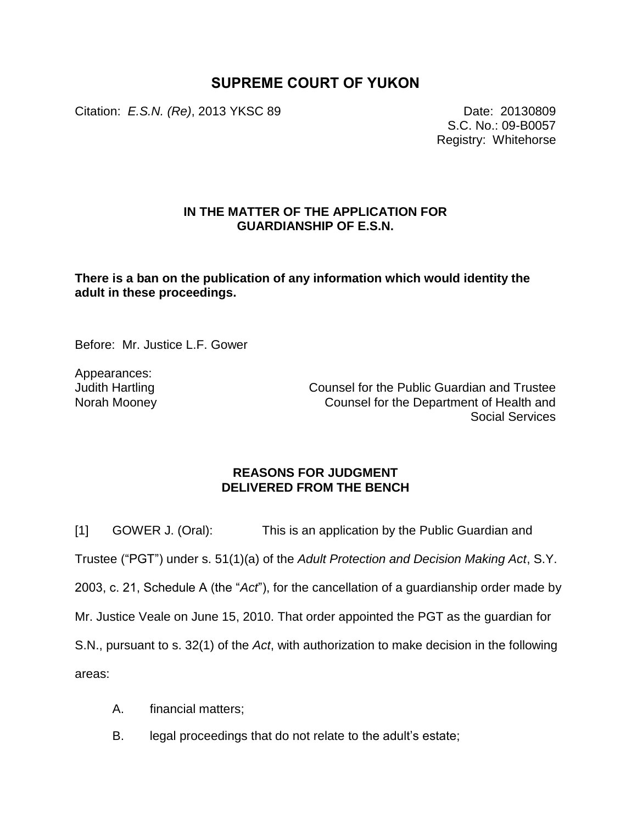# **SUPREME COURT OF YUKON**

Citation: *E.S.N. (Re)*, 2013 YKSC 89 Date: 20130809

S.C. No.: 09-B0057 Registry: Whitehorse

## **IN THE MATTER OF THE APPLICATION FOR GUARDIANSHIP OF E.S.N.**

**There is a ban on the publication of any information which would identity the adult in these proceedings.**

Before: Mr. Justice L.F. Gower

Appearances: Judith Hartling Norah Mooney

Counsel for the Public Guardian and Trustee Counsel for the Department of Health and Social Services

### **REASONS FOR JUDGMENT DELIVERED FROM THE BENCH**

[1] GOWER J. (Oral): This is an application by the Public Guardian and Trustee ("PGT") under s. 51(1)(a) of the *Adult Protection and Decision Making Act*, S.Y. 2003, c. 21, Schedule A (the "*Act*"), for the cancellation of a guardianship order made by Mr. Justice Veale on June 15, 2010. That order appointed the PGT as the guardian for S.N., pursuant to s. 32(1) of the *Act*, with authorization to make decision in the following areas:

- A. financial matters;
- B. legal proceedings that do not relate to the adult's estate;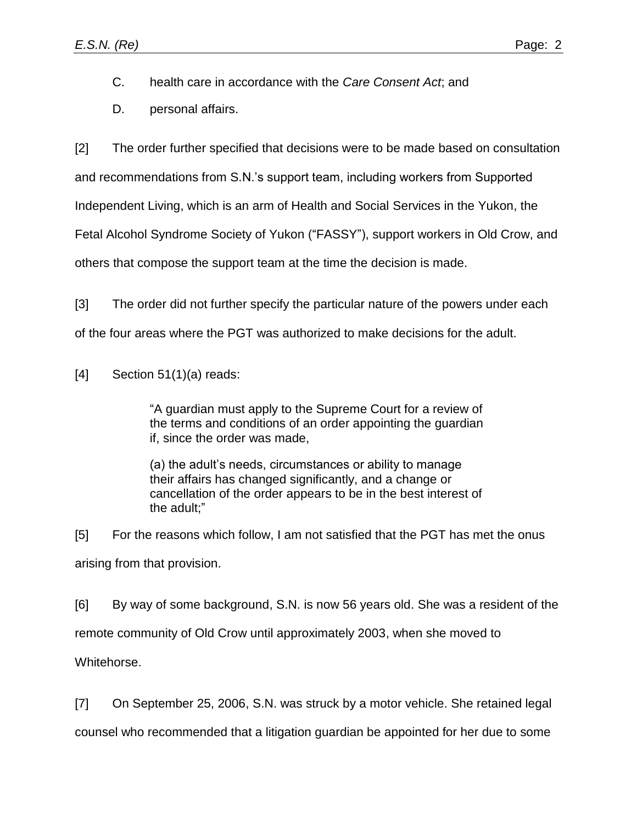C. health care in accordance with the *Care Consent Act*; and

D. personal affairs.

[2] The order further specified that decisions were to be made based on consultation

and recommendations from S.N.'s support team, including workers from Supported

Independent Living, which is an arm of Health and Social Services in the Yukon, the

Fetal Alcohol Syndrome Society of Yukon ("FASSY"), support workers in Old Crow, and

others that compose the support team at the time the decision is made.

[3] The order did not further specify the particular nature of the powers under each

of the four areas where the PGT was authorized to make decisions for the adult.

 $[4]$  Section 51(1)(a) reads:

"A guardian must apply to the Supreme Court for a review of the terms and conditions of an order appointing the guardian if, since the order was made,

(a) the adult's needs, circumstances or ability to manage their affairs has changed significantly, and a change or cancellation of the order appears to be in the best interest of the adult;"

[5] For the reasons which follow, I am not satisfied that the PGT has met the onus arising from that provision.

[6] By way of some background, S.N. is now 56 years old. She was a resident of the remote community of Old Crow until approximately 2003, when she moved to Whitehorse.

[7] On September 25, 2006, S.N. was struck by a motor vehicle. She retained legal

counsel who recommended that a litigation guardian be appointed for her due to some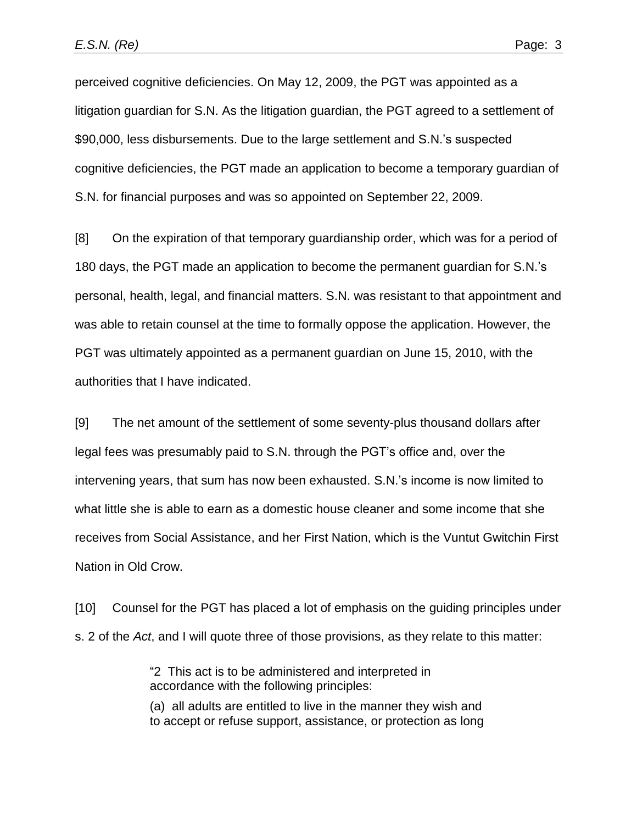perceived cognitive deficiencies. On May 12, 2009, the PGT was appointed as a litigation guardian for S.N. As the litigation guardian, the PGT agreed to a settlement of \$90,000, less disbursements. Due to the large settlement and S.N.'s suspected cognitive deficiencies, the PGT made an application to become a temporary guardian of S.N. for financial purposes and was so appointed on September 22, 2009.

[8] On the expiration of that temporary guardianship order, which was for a period of 180 days, the PGT made an application to become the permanent guardian for S.N.'s personal, health, legal, and financial matters. S.N. was resistant to that appointment and was able to retain counsel at the time to formally oppose the application. However, the PGT was ultimately appointed as a permanent guardian on June 15, 2010, with the authorities that I have indicated.

[9] The net amount of the settlement of some seventy-plus thousand dollars after legal fees was presumably paid to S.N. through the PGT's office and, over the intervening years, that sum has now been exhausted. S.N.'s income is now limited to what little she is able to earn as a domestic house cleaner and some income that she receives from Social Assistance, and her First Nation, which is the Vuntut Gwitchin First Nation in Old Crow.

[10] Counsel for the PGT has placed a lot of emphasis on the guiding principles under s. 2 of the *Act*, and I will quote three of those provisions, as they relate to this matter:

> "2 This act is to be administered and interpreted in accordance with the following principles:

(a) all adults are entitled to live in the manner they wish and to accept or refuse support, assistance, or protection as long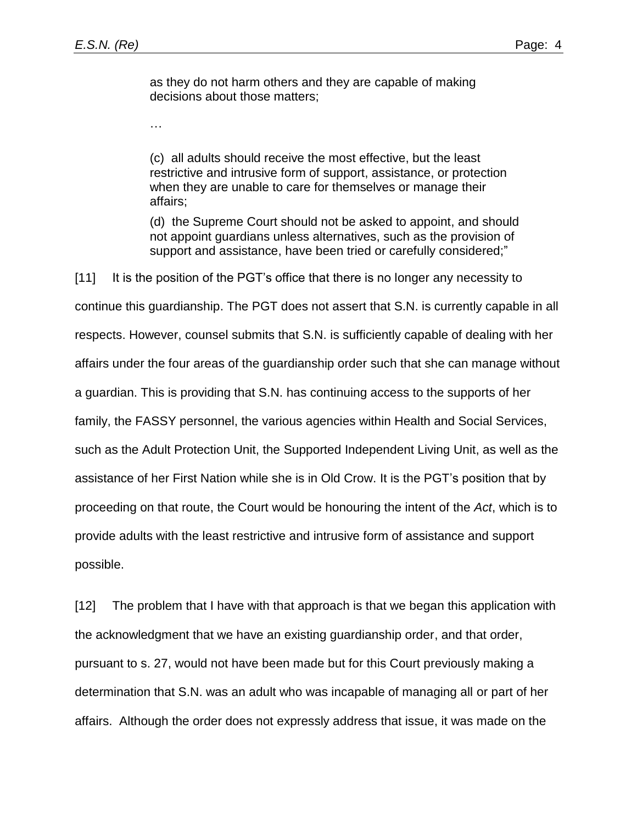…

as they do not harm others and they are capable of making decisions about those matters;

(c) all adults should receive the most effective, but the least restrictive and intrusive form of support, assistance, or protection when they are unable to care for themselves or manage their affairs;

(d) the Supreme Court should not be asked to appoint, and should not appoint guardians unless alternatives, such as the provision of support and assistance, have been tried or carefully considered;"

[11] It is the position of the PGT's office that there is no longer any necessity to continue this guardianship. The PGT does not assert that S.N. is currently capable in all respects. However, counsel submits that S.N. is sufficiently capable of dealing with her affairs under the four areas of the guardianship order such that she can manage without a guardian. This is providing that S.N. has continuing access to the supports of her family, the FASSY personnel, the various agencies within Health and Social Services, such as the Adult Protection Unit, the Supported Independent Living Unit, as well as the assistance of her First Nation while she is in Old Crow. It is the PGT's position that by proceeding on that route, the Court would be honouring the intent of the *Act*, which is to provide adults with the least restrictive and intrusive form of assistance and support possible.

[12] The problem that I have with that approach is that we began this application with the acknowledgment that we have an existing guardianship order, and that order, pursuant to s. 27, would not have been made but for this Court previously making a determination that S.N. was an adult who was incapable of managing all or part of her affairs. Although the order does not expressly address that issue, it was made on the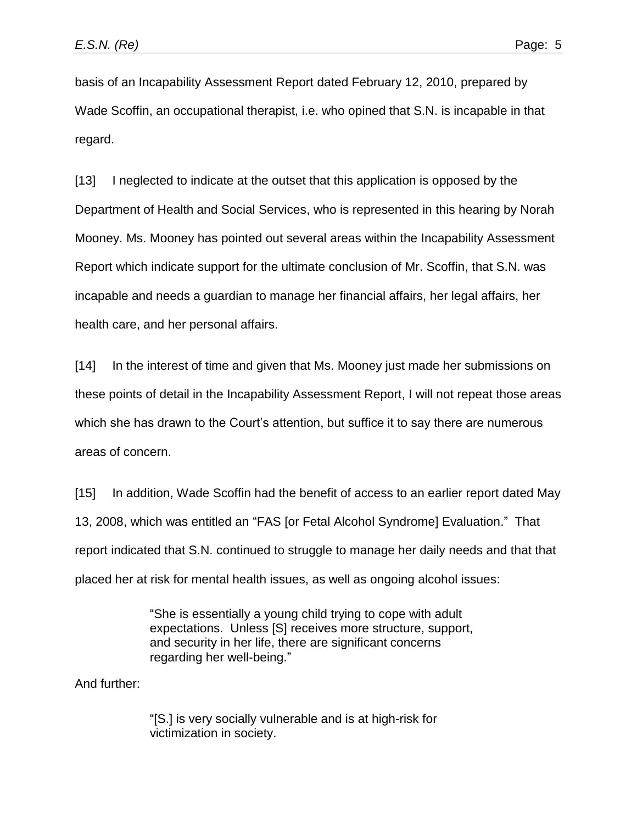basis of an Incapability Assessment Report dated February 12, 2010, prepared by Wade Scoffin, an occupational therapist, i.e. who opined that S.N. is incapable in that regard.

[13] I neglected to indicate at the outset that this application is opposed by the Department of Health and Social Services, who is represented in this hearing by Norah Mooney. Ms. Mooney has pointed out several areas within the Incapability Assessment Report which indicate support for the ultimate conclusion of Mr. Scoffin, that S.N. was incapable and needs a guardian to manage her financial affairs, her legal affairs, her health care, and her personal affairs.

[14] In the interest of time and given that Ms. Mooney just made her submissions on these points of detail in the Incapability Assessment Report, I will not repeat those areas which she has drawn to the Court's attention, but suffice it to say there are numerous areas of concern.

[15] In addition, Wade Scoffin had the benefit of access to an earlier report dated May 13, 2008, which was entitled an "FAS [or Fetal Alcohol Syndrome] Evaluation." That report indicated that S.N. continued to struggle to manage her daily needs and that that placed her at risk for mental health issues, as well as ongoing alcohol issues:

> "She is essentially a young child trying to cope with adult expectations. Unless [S] receives more structure, support, and security in her life, there are significant concerns regarding her well-being."

And further:

"[S.] is very socially vulnerable and is at high-risk for victimization in society.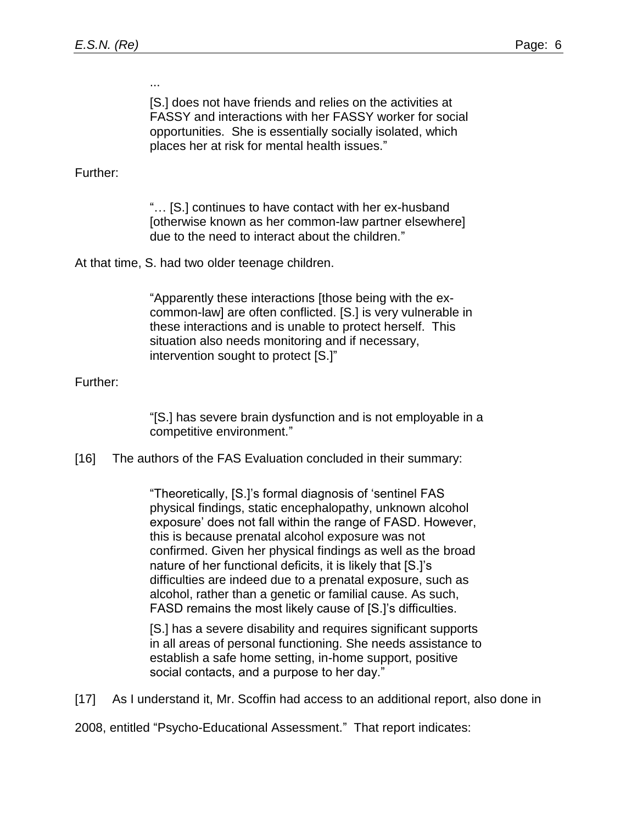...

[S.] does not have friends and relies on the activities at FASSY and interactions with her FASSY worker for social opportunities. She is essentially socially isolated, which places her at risk for mental health issues."

Further:

"… [S.] continues to have contact with her ex-husband [otherwise known as her common-law partner elsewhere] due to the need to interact about the children."

At that time, S. had two older teenage children.

"Apparently these interactions [those being with the excommon-law] are often conflicted. [S.] is very vulnerable in these interactions and is unable to protect herself. This situation also needs monitoring and if necessary, intervention sought to protect [S.]"

### Further:

"[S.] has severe brain dysfunction and is not employable in a competitive environment."

[16] The authors of the FAS Evaluation concluded in their summary:

"Theoretically, [S.]'s formal diagnosis of 'sentinel FAS physical findings, static encephalopathy, unknown alcohol exposure' does not fall within the range of FASD. However, this is because prenatal alcohol exposure was not confirmed. Given her physical findings as well as the broad nature of her functional deficits, it is likely that [S.]'s difficulties are indeed due to a prenatal exposure, such as alcohol, rather than a genetic or familial cause. As such, FASD remains the most likely cause of [S.]'s difficulties.

[S.] has a severe disability and requires significant supports in all areas of personal functioning. She needs assistance to establish a safe home setting, in-home support, positive social contacts, and a purpose to her day."

[17] As I understand it, Mr. Scoffin had access to an additional report, also done in

2008, entitled "Psycho-Educational Assessment." That report indicates: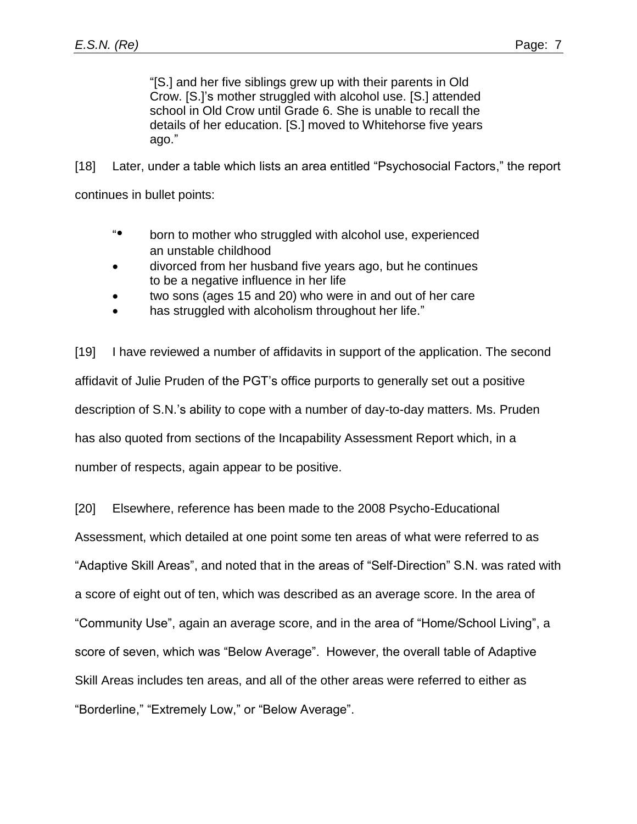"[S.] and her five siblings grew up with their parents in Old Crow. [S.]'s mother struggled with alcohol use. [S.] attended school in Old Crow until Grade 6. She is unable to recall the details of her education. [S.] moved to Whitehorse five years ago."

[18] Later, under a table which lists an area entitled "Psychosocial Factors," the report continues in bullet points:

- "• born to mother who struggled with alcohol use, experienced an unstable childhood
- divorced from her husband five years ago, but he continues to be a negative influence in her life
- two sons (ages 15 and 20) who were in and out of her care
- has struggled with alcoholism throughout her life."

[19] I have reviewed a number of affidavits in support of the application. The second affidavit of Julie Pruden of the PGT's office purports to generally set out a positive description of S.N.'s ability to cope with a number of day-to-day matters. Ms. Pruden has also quoted from sections of the Incapability Assessment Report which, in a number of respects, again appear to be positive.

[20] Elsewhere, reference has been made to the 2008 Psycho-Educational Assessment, which detailed at one point some ten areas of what were referred to as "Adaptive Skill Areas", and noted that in the areas of "Self-Direction" S.N. was rated with a score of eight out of ten, which was described as an average score. In the area of "Community Use", again an average score, and in the area of "Home/School Living", a score of seven, which was "Below Average". However, the overall table of Adaptive Skill Areas includes ten areas, and all of the other areas were referred to either as "Borderline," "Extremely Low," or "Below Average".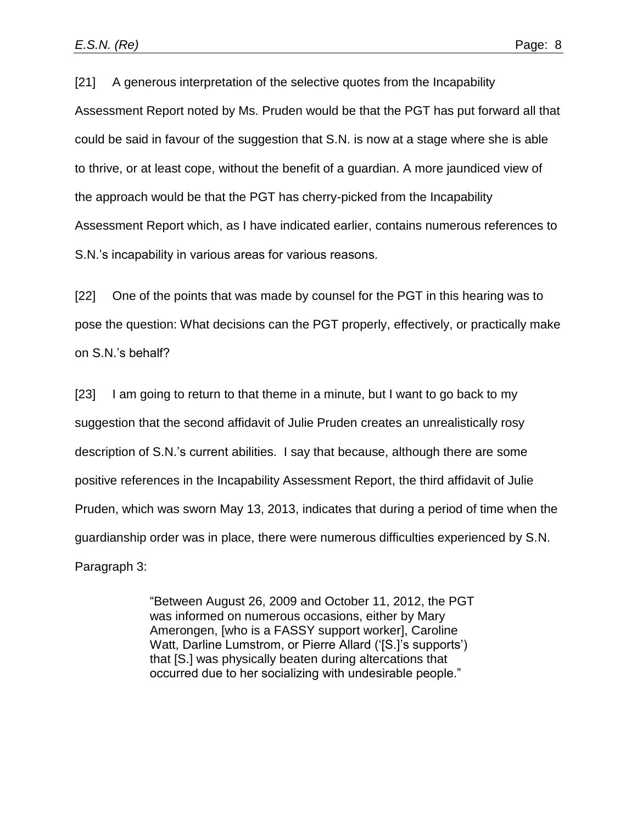[21] A generous interpretation of the selective quotes from the Incapability Assessment Report noted by Ms. Pruden would be that the PGT has put forward all that could be said in favour of the suggestion that S.N. is now at a stage where she is able to thrive, or at least cope, without the benefit of a guardian. A more jaundiced view of the approach would be that the PGT has cherry-picked from the Incapability Assessment Report which, as I have indicated earlier, contains numerous references to S.N.'s incapability in various areas for various reasons.

[22] One of the points that was made by counsel for the PGT in this hearing was to pose the question: What decisions can the PGT properly, effectively, or practically make on S.N.'s behalf?

[23] I am going to return to that theme in a minute, but I want to go back to my suggestion that the second affidavit of Julie Pruden creates an unrealistically rosy description of S.N.'s current abilities. I say that because, although there are some positive references in the Incapability Assessment Report, the third affidavit of Julie Pruden, which was sworn May 13, 2013, indicates that during a period of time when the guardianship order was in place, there were numerous difficulties experienced by S.N. Paragraph 3:

> "Between August 26, 2009 and October 11, 2012, the PGT was informed on numerous occasions, either by Mary Amerongen, [who is a FASSY support worker], Caroline Watt, Darline Lumstrom, or Pierre Allard ('[S.]'s supports') that [S.] was physically beaten during altercations that occurred due to her socializing with undesirable people."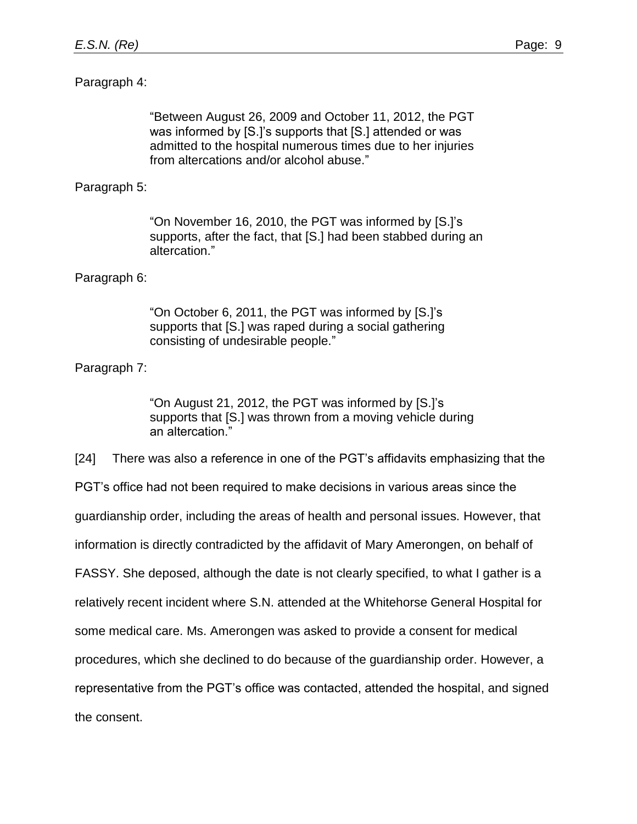### Paragraph 4:

"Between August 26, 2009 and October 11, 2012, the PGT was informed by [S.]'s supports that [S.] attended or was admitted to the hospital numerous times due to her injuries from altercations and/or alcohol abuse."

### Paragraph 5:

"On November 16, 2010, the PGT was informed by [S.]'s supports, after the fact, that [S.] had been stabbed during an altercation."

#### Paragraph 6:

"On October 6, 2011, the PGT was informed by [S.]'s supports that [S.] was raped during a social gathering consisting of undesirable people."

### Paragraph 7:

"On August 21, 2012, the PGT was informed by [S.]'s supports that [S.] was thrown from a moving vehicle during an altercation."

[24] There was also a reference in one of the PGT's affidavits emphasizing that the PGT's office had not been required to make decisions in various areas since the guardianship order, including the areas of health and personal issues. However, that information is directly contradicted by the affidavit of Mary Amerongen, on behalf of FASSY. She deposed, although the date is not clearly specified, to what I gather is a relatively recent incident where S.N. attended at the Whitehorse General Hospital for some medical care. Ms. Amerongen was asked to provide a consent for medical procedures, which she declined to do because of the guardianship order. However, a representative from the PGT's office was contacted, attended the hospital, and signed the consent.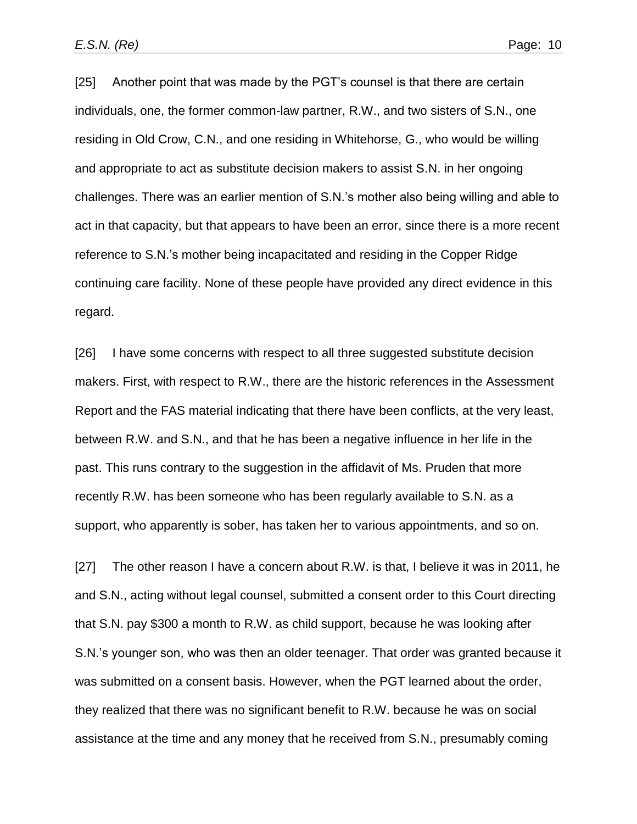[25] Another point that was made by the PGT's counsel is that there are certain individuals, one, the former common-law partner, R.W., and two sisters of S.N., one residing in Old Crow, C.N., and one residing in Whitehorse, G., who would be willing and appropriate to act as substitute decision makers to assist S.N. in her ongoing challenges. There was an earlier mention of S.N.'s mother also being willing and able to act in that capacity, but that appears to have been an error, since there is a more recent reference to S.N.'s mother being incapacitated and residing in the Copper Ridge continuing care facility. None of these people have provided any direct evidence in this regard.

[26] I have some concerns with respect to all three suggested substitute decision makers. First, with respect to R.W., there are the historic references in the Assessment Report and the FAS material indicating that there have been conflicts, at the very least, between R.W. and S.N., and that he has been a negative influence in her life in the past. This runs contrary to the suggestion in the affidavit of Ms. Pruden that more recently R.W. has been someone who has been regularly available to S.N. as a support, who apparently is sober, has taken her to various appointments, and so on.

[27] The other reason I have a concern about R.W. is that, I believe it was in 2011, he and S.N., acting without legal counsel, submitted a consent order to this Court directing that S.N. pay \$300 a month to R.W. as child support, because he was looking after S.N.'s younger son, who was then an older teenager. That order was granted because it was submitted on a consent basis. However, when the PGT learned about the order, they realized that there was no significant benefit to R.W. because he was on social assistance at the time and any money that he received from S.N., presumably coming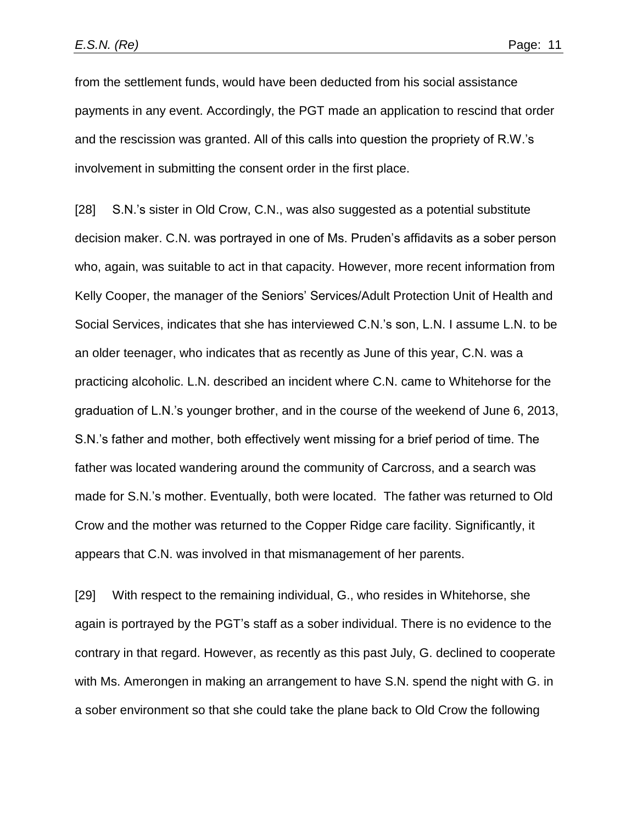from the settlement funds, would have been deducted from his social assistance payments in any event. Accordingly, the PGT made an application to rescind that order and the rescission was granted. All of this calls into question the propriety of R.W.'s involvement in submitting the consent order in the first place.

[28] S.N.'s sister in Old Crow, C.N., was also suggested as a potential substitute decision maker. C.N. was portrayed in one of Ms. Pruden's affidavits as a sober person who, again, was suitable to act in that capacity. However, more recent information from Kelly Cooper, the manager of the Seniors' Services/Adult Protection Unit of Health and Social Services, indicates that she has interviewed C.N.'s son, L.N. I assume L.N. to be an older teenager, who indicates that as recently as June of this year, C.N. was a practicing alcoholic. L.N. described an incident where C.N. came to Whitehorse for the graduation of L.N.'s younger brother, and in the course of the weekend of June 6, 2013, S.N.'s father and mother, both effectively went missing for a brief period of time. The father was located wandering around the community of Carcross, and a search was made for S.N.'s mother. Eventually, both were located. The father was returned to Old Crow and the mother was returned to the Copper Ridge care facility. Significantly, it appears that C.N. was involved in that mismanagement of her parents.

[29] With respect to the remaining individual, G., who resides in Whitehorse, she again is portrayed by the PGT's staff as a sober individual. There is no evidence to the contrary in that regard. However, as recently as this past July, G. declined to cooperate with Ms. Amerongen in making an arrangement to have S.N. spend the night with G. in a sober environment so that she could take the plane back to Old Crow the following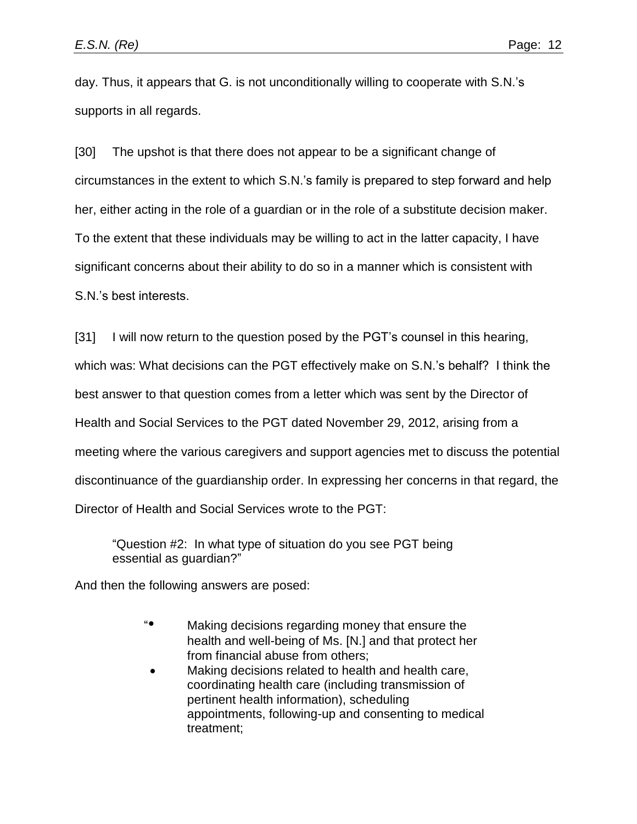day. Thus, it appears that G. is not unconditionally willing to cooperate with S.N.'s supports in all regards.

[30] The upshot is that there does not appear to be a significant change of circumstances in the extent to which S.N.'s family is prepared to step forward and help her, either acting in the role of a guardian or in the role of a substitute decision maker. To the extent that these individuals may be willing to act in the latter capacity, I have significant concerns about their ability to do so in a manner which is consistent with S.N.'s best interests.

[31] I will now return to the question posed by the PGT's counsel in this hearing, which was: What decisions can the PGT effectively make on S.N.'s behalf? I think the best answer to that question comes from a letter which was sent by the Director of Health and Social Services to the PGT dated November 29, 2012, arising from a meeting where the various caregivers and support agencies met to discuss the potential discontinuance of the guardianship order. In expressing her concerns in that regard, the Director of Health and Social Services wrote to the PGT:

"Question #2: In what type of situation do you see PGT being essential as guardian?"

And then the following answers are posed:

- "• Making decisions regarding money that ensure the health and well-being of Ms. [N.] and that protect her from financial abuse from others;
- Making decisions related to health and health care, coordinating health care (including transmission of pertinent health information), scheduling appointments, following-up and consenting to medical treatment;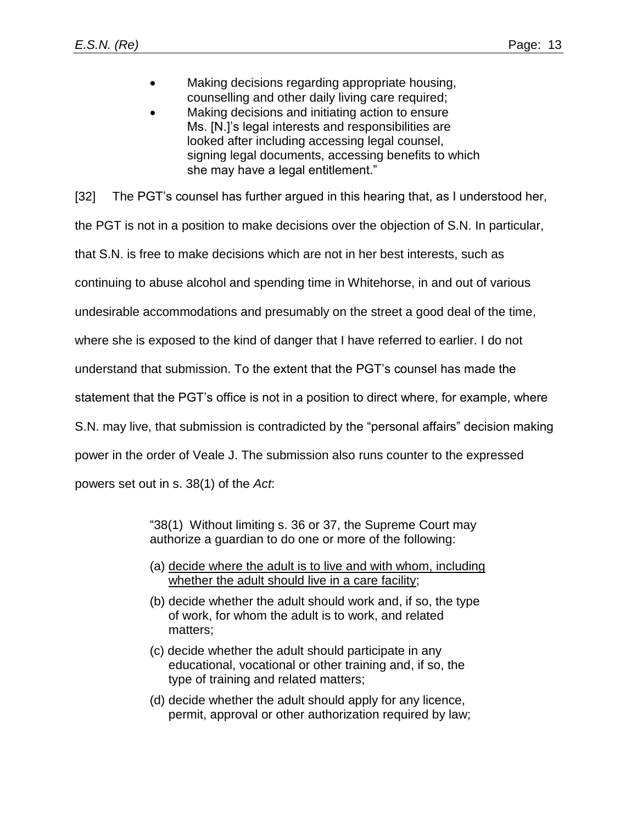- Making decisions regarding appropriate housing, counselling and other daily living care required;
- Making decisions and initiating action to ensure Ms. [N.]'s legal interests and responsibilities are looked after including accessing legal counsel, signing legal documents, accessing benefits to which she may have a legal entitlement."

[32] The PGT's counsel has further argued in this hearing that, as I understood her,

the PGT is not in a position to make decisions over the objection of S.N. In particular,

that S.N. is free to make decisions which are not in her best interests, such as

continuing to abuse alcohol and spending time in Whitehorse, in and out of various

undesirable accommodations and presumably on the street a good deal of the time,

where she is exposed to the kind of danger that I have referred to earlier. I do not

understand that submission. To the extent that the PGT's counsel has made the

statement that the PGT's office is not in a position to direct where, for example, where

S.N. may live, that submission is contradicted by the "personal affairs" decision making

power in the order of Veale J. The submission also runs counter to the expressed

powers set out in s. 38(1) of the *Act*:

"38(1) Without limiting s. 36 or 37, the Supreme Court may authorize a guardian to do one or more of the following:

- (a) decide where the adult is to live and with whom, including whether the adult should live in a care facility;
- (b) decide whether the adult should work and, if so, the type of work, for whom the adult is to work, and related matters;
- (c) decide whether the adult should participate in any educational, vocational or other training and, if so, the type of training and related matters;
- (d) decide whether the adult should apply for any licence, permit, approval or other authorization required by law;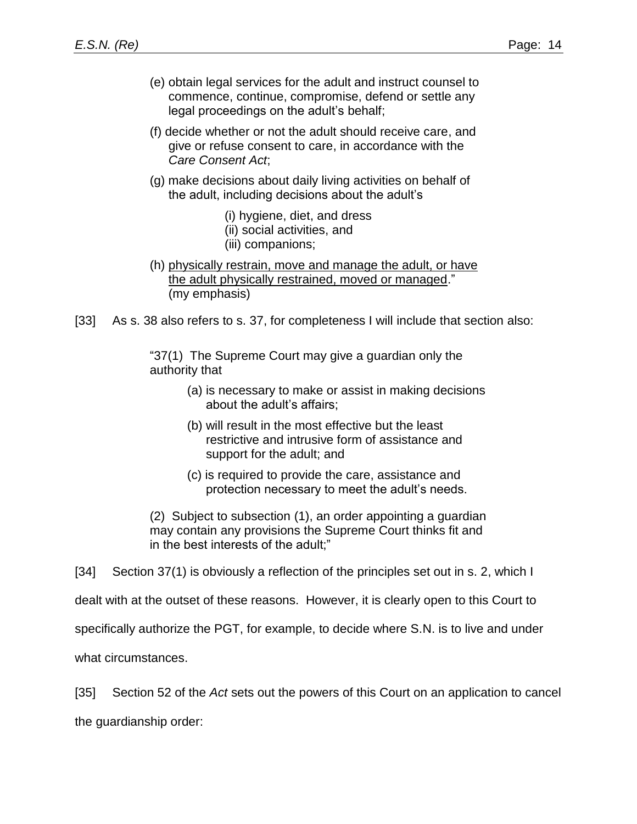- (e) obtain legal services for the adult and instruct counsel to commence, continue, compromise, defend or settle any legal proceedings on the adult's behalf;
- (f) decide whether or not the adult should receive care, and give or refuse consent to care, in accordance with the *Care Consent Act*;
- (g) make decisions about daily living activities on behalf of the adult, including decisions about the adult's
	- (i) hygiene, diet, and dress
	- (ii) social activities, and
	- (iii) companions;
- (h) physically restrain, move and manage the adult, or have the adult physically restrained, moved or managed." (my emphasis)
- [33] As s. 38 also refers to s. 37, for completeness I will include that section also:

"37(1) The Supreme Court may give a guardian only the authority that

- (a) is necessary to make or assist in making decisions about the adult's affairs;
- (b) will result in the most effective but the least restrictive and intrusive form of assistance and support for the adult; and
- (c) is required to provide the care, assistance and protection necessary to meet the adult's needs.

(2) Subject to subsection (1), an order appointing a guardian may contain any provisions the Supreme Court thinks fit and in the best interests of the adult;"

[34] Section 37(1) is obviously a reflection of the principles set out in s. 2, which I

dealt with at the outset of these reasons. However, it is clearly open to this Court to

specifically authorize the PGT, for example, to decide where S.N. is to live and under

what circumstances.

[35] Section 52 of the *Act* sets out the powers of this Court on an application to cancel the guardianship order: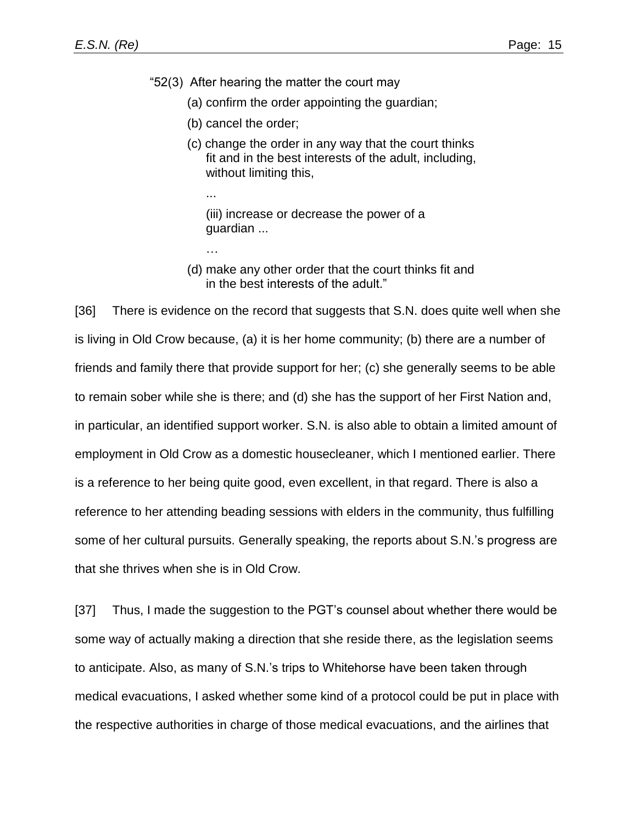"52(3) After hearing the matter the court may

- (a) confirm the order appointing the guardian;
- (b) cancel the order;

...

…

(c) change the order in any way that the court thinks fit and in the best interests of the adult, including, without limiting this,

(iii) increase or decrease the power of a guardian ...

(d) make any other order that the court thinks fit and in the best interests of the adult."

[36] There is evidence on the record that suggests that S.N. does quite well when she is living in Old Crow because, (a) it is her home community; (b) there are a number of friends and family there that provide support for her; (c) she generally seems to be able to remain sober while she is there; and (d) she has the support of her First Nation and, in particular, an identified support worker. S.N. is also able to obtain a limited amount of employment in Old Crow as a domestic housecleaner, which I mentioned earlier. There is a reference to her being quite good, even excellent, in that regard. There is also a reference to her attending beading sessions with elders in the community, thus fulfilling some of her cultural pursuits. Generally speaking, the reports about S.N.'s progress are that she thrives when she is in Old Crow.

[37] Thus, I made the suggestion to the PGT's counsel about whether there would be some way of actually making a direction that she reside there, as the legislation seems to anticipate. Also, as many of S.N.'s trips to Whitehorse have been taken through medical evacuations, I asked whether some kind of a protocol could be put in place with the respective authorities in charge of those medical evacuations, and the airlines that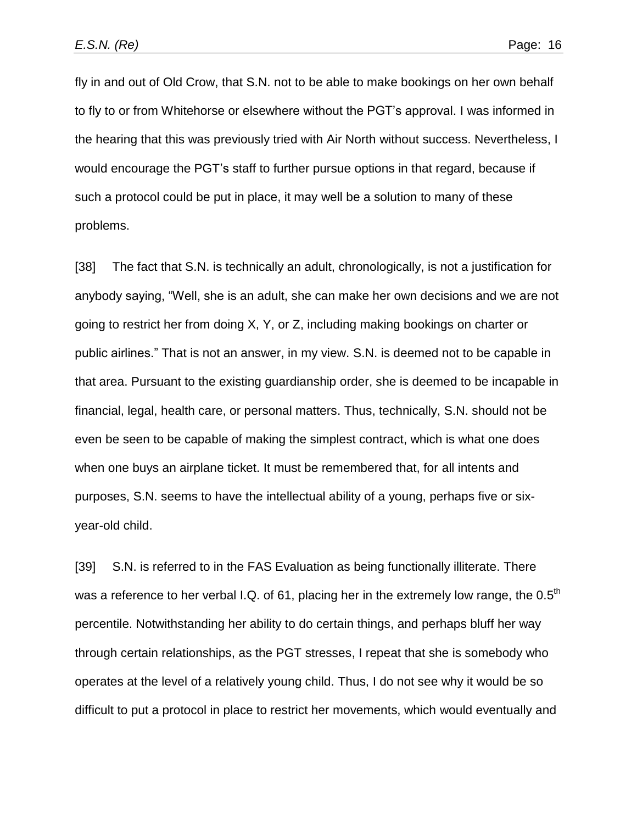fly in and out of Old Crow, that S.N. not to be able to make bookings on her own behalf to fly to or from Whitehorse or elsewhere without the PGT's approval. I was informed in the hearing that this was previously tried with Air North without success. Nevertheless, I would encourage the PGT's staff to further pursue options in that regard, because if such a protocol could be put in place, it may well be a solution to many of these problems.

[38] The fact that S.N. is technically an adult, chronologically, is not a justification for anybody saying, "Well, she is an adult, she can make her own decisions and we are not going to restrict her from doing X, Y, or Z, including making bookings on charter or public airlines." That is not an answer, in my view. S.N. is deemed not to be capable in that area. Pursuant to the existing guardianship order, she is deemed to be incapable in financial, legal, health care, or personal matters. Thus, technically, S.N. should not be even be seen to be capable of making the simplest contract, which is what one does when one buys an airplane ticket. It must be remembered that, for all intents and purposes, S.N. seems to have the intellectual ability of a young, perhaps five or sixyear-old child.

[39] S.N. is referred to in the FAS Evaluation as being functionally illiterate. There was a reference to her verbal I.Q. of 61, placing her in the extremely low range, the  $0.5<sup>th</sup>$ percentile. Notwithstanding her ability to do certain things, and perhaps bluff her way through certain relationships, as the PGT stresses, I repeat that she is somebody who operates at the level of a relatively young child. Thus, I do not see why it would be so difficult to put a protocol in place to restrict her movements, which would eventually and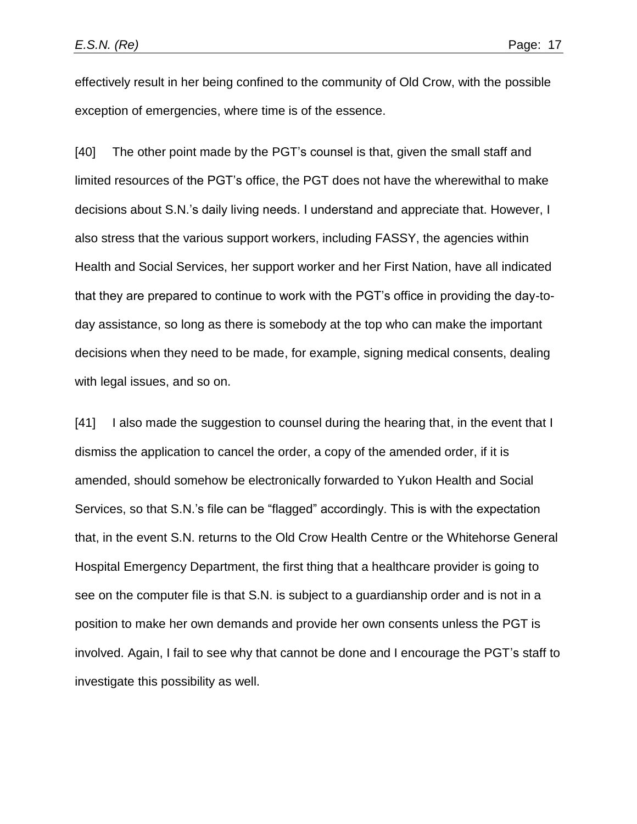effectively result in her being confined to the community of Old Crow, with the possible exception of emergencies, where time is of the essence.

[40] The other point made by the PGT's counsel is that, given the small staff and limited resources of the PGT's office, the PGT does not have the wherewithal to make decisions about S.N.'s daily living needs. I understand and appreciate that. However, I also stress that the various support workers, including FASSY, the agencies within Health and Social Services, her support worker and her First Nation, have all indicated that they are prepared to continue to work with the PGT's office in providing the day-today assistance, so long as there is somebody at the top who can make the important decisions when they need to be made, for example, signing medical consents, dealing with legal issues, and so on.

[41] I also made the suggestion to counsel during the hearing that, in the event that I dismiss the application to cancel the order, a copy of the amended order, if it is amended, should somehow be electronically forwarded to Yukon Health and Social Services, so that S.N.'s file can be "flagged" accordingly. This is with the expectation that, in the event S.N. returns to the Old Crow Health Centre or the Whitehorse General Hospital Emergency Department, the first thing that a healthcare provider is going to see on the computer file is that S.N. is subject to a guardianship order and is not in a position to make her own demands and provide her own consents unless the PGT is involved. Again, I fail to see why that cannot be done and I encourage the PGT's staff to investigate this possibility as well.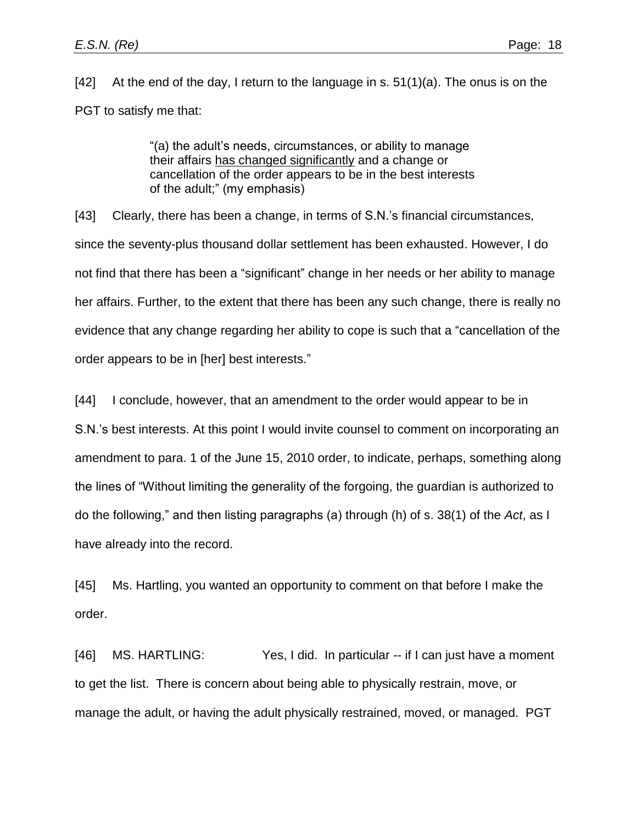[42] At the end of the day, I return to the language in s. 51(1)(a). The onus is on the PGT to satisfy me that:

> "(a) the adult's needs, circumstances, or ability to manage their affairs has changed significantly and a change or cancellation of the order appears to be in the best interests of the adult;" (my emphasis)

[43] Clearly, there has been a change, in terms of S.N.'s financial circumstances, since the seventy-plus thousand dollar settlement has been exhausted. However, I do not find that there has been a "significant" change in her needs or her ability to manage her affairs. Further, to the extent that there has been any such change, there is really no evidence that any change regarding her ability to cope is such that a "cancellation of the order appears to be in [her] best interests."

[44] I conclude, however, that an amendment to the order would appear to be in S.N.'s best interests. At this point I would invite counsel to comment on incorporating an amendment to para. 1 of the June 15, 2010 order, to indicate, perhaps, something along the lines of "Without limiting the generality of the forgoing, the guardian is authorized to do the following," and then listing paragraphs (a) through (h) of s. 38(1) of the *Act*, as I have already into the record.

[45] Ms. Hartling, you wanted an opportunity to comment on that before I make the order.

[46] MS. HARTLING: Yes, I did. In particular -- if I can just have a moment to get the list. There is concern about being able to physically restrain, move, or manage the adult, or having the adult physically restrained, moved, or managed. PGT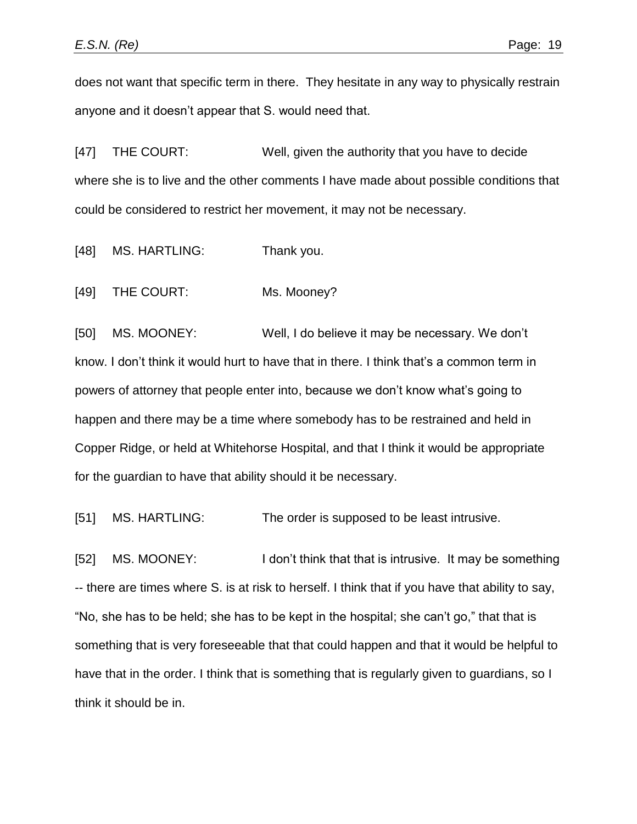does not want that specific term in there. They hesitate in any way to physically restrain anyone and it doesn't appear that S. would need that.

[47] THE COURT: Well, given the authority that you have to decide where she is to live and the other comments I have made about possible conditions that could be considered to restrict her movement, it may not be necessary.

[48] MS. HARTLING: Thank you.

[49] THE COURT: Ms. Mooney?

[50] MS. MOONEY: Well, I do believe it may be necessary. We don't know. I don't think it would hurt to have that in there. I think that's a common term in powers of attorney that people enter into, because we don't know what's going to happen and there may be a time where somebody has to be restrained and held in Copper Ridge, or held at Whitehorse Hospital, and that I think it would be appropriate for the guardian to have that ability should it be necessary.

[51] MS. HARTLING: The order is supposed to be least intrusive.

[52] MS. MOONEY: I don't think that that is intrusive. It may be something -- there are times where S. is at risk to herself. I think that if you have that ability to say, "No, she has to be held; she has to be kept in the hospital; she can't go," that that is something that is very foreseeable that that could happen and that it would be helpful to have that in the order. I think that is something that is regularly given to guardians, so I think it should be in.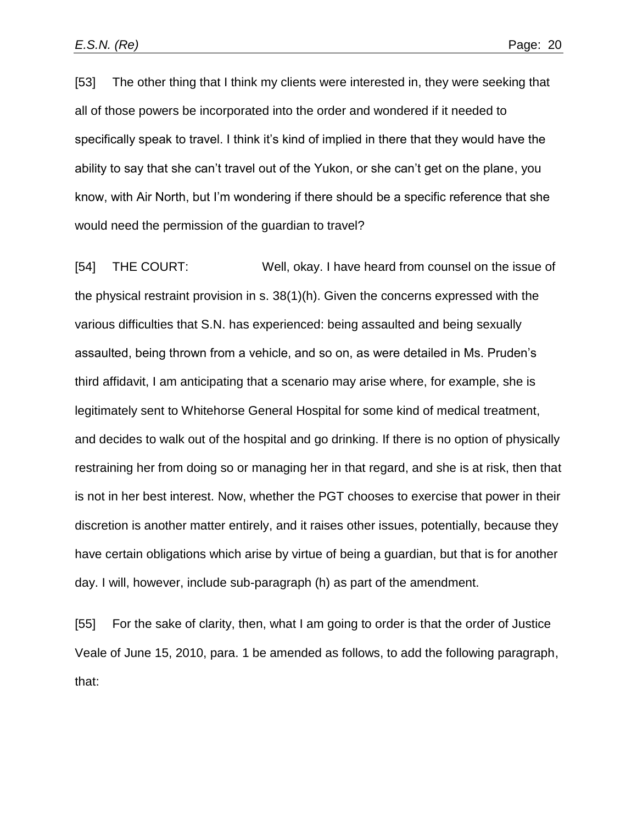[53] The other thing that I think my clients were interested in, they were seeking that all of those powers be incorporated into the order and wondered if it needed to specifically speak to travel. I think it's kind of implied in there that they would have the ability to say that she can't travel out of the Yukon, or she can't get on the plane, you know, with Air North, but I'm wondering if there should be a specific reference that she would need the permission of the guardian to travel?

[54] THE COURT: Well, okay. I have heard from counsel on the issue of the physical restraint provision in s. 38(1)(h). Given the concerns expressed with the various difficulties that S.N. has experienced: being assaulted and being sexually assaulted, being thrown from a vehicle, and so on, as were detailed in Ms. Pruden's third affidavit, I am anticipating that a scenario may arise where, for example, she is legitimately sent to Whitehorse General Hospital for some kind of medical treatment, and decides to walk out of the hospital and go drinking. If there is no option of physically restraining her from doing so or managing her in that regard, and she is at risk, then that is not in her best interest. Now, whether the PGT chooses to exercise that power in their discretion is another matter entirely, and it raises other issues, potentially, because they have certain obligations which arise by virtue of being a guardian, but that is for another day. I will, however, include sub-paragraph (h) as part of the amendment.

[55] For the sake of clarity, then, what I am going to order is that the order of Justice Veale of June 15, 2010, para. 1 be amended as follows, to add the following paragraph, that: